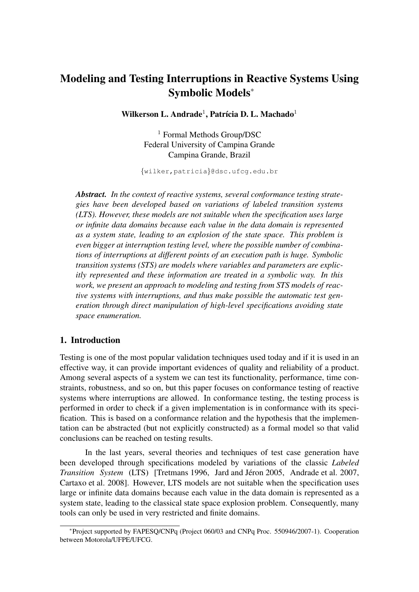# Modeling and Testing Interruptions in Reactive Systems Using Symbolic Models<sup>∗</sup>

Wilkerson L. Andrade $^1$ , Patrícia D. L. Machado $^1$ 

<sup>1</sup> Formal Methods Group/DSC Federal University of Campina Grande Campina Grande, Brazil

{wilker,patricia}@dsc.ufcg.edu.br

*Abstract. In the context of reactive systems, several conformance testing strategies have been developed based on variations of labeled transition systems (LTS). However, these models are not suitable when the specification uses large or infinite data domains because each value in the data domain is represented as a system state, leading to an explosion of the state space. This problem is even bigger at interruption testing level, where the possible number of combinations of interruptions at different points of an execution path is huge. Symbolic transition systems (STS) are models where variables and parameters are explicitly represented and these information are treated in a symbolic way. In this work, we present an approach to modeling and testing from STS models of reactive systems with interruptions, and thus make possible the automatic test generation through direct manipulation of high-level specifications avoiding state space enumeration.*

#### 1. Introduction

Testing is one of the most popular validation techniques used today and if it is used in an effective way, it can provide important evidences of quality and reliability of a product. Among several aspects of a system we can test its functionality, performance, time constraints, robustness, and so on, but this paper focuses on conformance testing of reactive systems where interruptions are allowed. In conformance testing, the testing process is performed in order to check if a given implementation is in conformance with its specification. This is based on a conformance relation and the hypothesis that the implementation can be abstracted (but not explicitly constructed) as a formal model so that valid conclusions can be reached on testing results.

In the last years, several theories and techniques of test case generation have been developed through specifications modeled by variations of the classic *Labeled Transition System* (LTS) [Tretmans 1996, Jard and Jéron 2005, Andrade et al. 2007, Cartaxo et al. 2008]. However, LTS models are not suitable when the specification uses large or infinite data domains because each value in the data domain is represented as a system state, leading to the classical state space explosion problem. Consequently, many tools can only be used in very restricted and finite domains.

<sup>∗</sup>Project supported by FAPESQ/CNPq (Project 060/03 and CNPq Proc. 550946/2007-1). Cooperation between Motorola/UFPE/UFCG.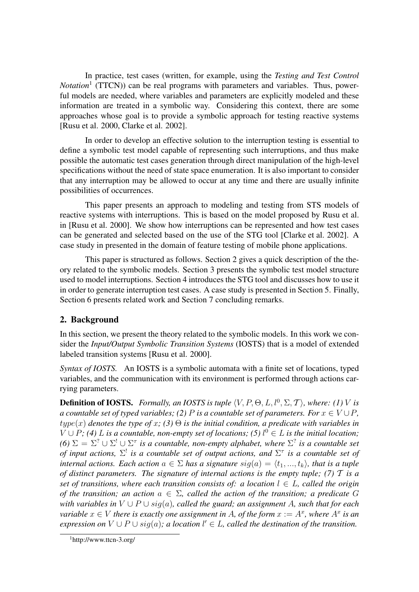In practice, test cases (written, for example, using the *Testing and Test Control Notation*<sup>1</sup> (TTCN)) can be real programs with parameters and variables. Thus, powerful models are needed, where variables and parameters are explicitly modeled and these information are treated in a symbolic way. Considering this context, there are some approaches whose goal is to provide a symbolic approach for testing reactive systems [Rusu et al. 2000, Clarke et al. 2002].

In order to develop an effective solution to the interruption testing is essential to define a symbolic test model capable of representing such interruptions, and thus make possible the automatic test cases generation through direct manipulation of the high-level specifications without the need of state space enumeration. It is also important to consider that any interruption may be allowed to occur at any time and there are usually infinite possibilities of occurrences.

This paper presents an approach to modeling and testing from STS models of reactive systems with interruptions. This is based on the model proposed by Rusu et al. in [Rusu et al. 2000]. We show how interruptions can be represented and how test cases can be generated and selected based on the use of the STG tool [Clarke et al. 2002]. A case study in presented in the domain of feature testing of mobile phone applications.

This paper is structured as follows. Section 2 gives a quick description of the theory related to the symbolic models. Section 3 presents the symbolic test model structure used to model interruptions. Section 4 introduces the STG tool and discusses how to use it in order to generate interruption test cases. A case study is presented in Section 5. Finally, Section 6 presents related work and Section 7 concluding remarks.

## 2. Background

In this section, we present the theory related to the symbolic models. In this work we consider the *Input/Output Symbolic Transition Systems* (IOSTS) that is a model of extended labeled transition systems [Rusu et al. 2000].

*Syntax of IOSTS.* An IOSTS is a symbolic automata with a finite set of locations, typed variables, and the communication with its environment is performed through actions carrying parameters.

**Definition of IOSTS.** Formally, an IOSTS is tuple  $\langle V, P, \Theta, L, l^0, \Sigma, T \rangle$ , where: (1) V is *a countable set of typed variables; (2)* P *is a countable set of parameters. For*  $x \in V \cup P$ *,*  $type(x)$  denotes the type of x; (3)  $\Theta$  is the initial condition, a predicate with variables in  $V \cup P$ ; (4) L is a countable, non-empty set of locations; (5)  $l^0 \in L$  is the initial location; *(6)*  $\Sigma = \Sigma^? \cup \Sigma^! \cup \Sigma^{\tau}$  is a countable, non-empty alphabet, where  $\Sigma^?$  is a countable set *of input actions,* Σ ! *is a countable set of output actions, and* Σ τ *is a countable set of internal actions. Each action*  $a \in \Sigma$  *has a signature*  $sig(a) = \langle t_1, ..., t_k \rangle$ *, that is a tuple of distinct parameters. The signature of internal actions is the empty tuple; (7)* T *is a set of transitions, where each transition consists of: a location*  $l \in L$ *, called the origin of the transition; an action*  $a \in \Sigma$ , called the action of the transition; a predicate G *with variables in* V ∪ P ∪ sig(a)*, called the guard; an assignment* A*, such that for each variable*  $x \in V$  *there is exactly one assignment in A, of the form*  $x := A^x$ *, where*  $A^x$  *is an expression on*  $V \cup P \cup sig(a)$ ; a location  $l' \in L$ , called the destination of the transition.

 $1$ http://www.ttcn-3.org/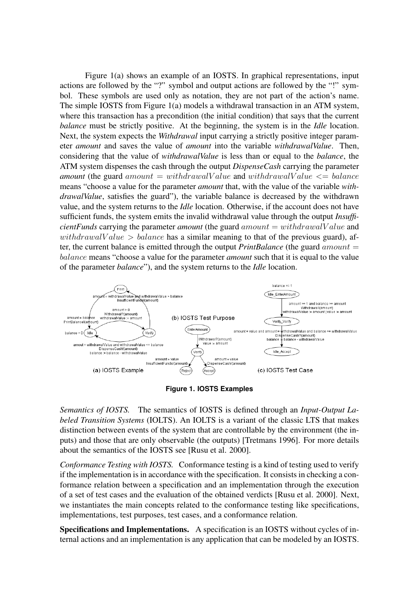Figure 1(a) shows an example of an IOSTS. In graphical representations, input actions are followed by the "?" symbol and output actions are followed by the "!" symbol. These symbols are used only as notation, they are not part of the action's name. The simple IOSTS from Figure 1(a) models a withdrawal transaction in an ATM system, where this transaction has a precondition (the initial condition) that says that the current *balance* must be strictly positive. At the beginning, the system is in the *Idle* location. Next, the system expects the *Withdrawal* input carrying a strictly positive integer parameter *amount* and saves the value of *amount* into the variable *withdrawalValue*. Then, considering that the value of *withdrawalValue* is less than or equal to the *balance*, the ATM system dispenses the cash through the output *DispenseCash* carrying the parameter *amount* (the guard amount  $=$  withdrawalV alue and withdrawalV alue  $\leq$  balance means "choose a value for the parameter *amount* that, with the value of the variable *withdrawalValue*, satisfies the guard"), the variable balance is decreased by the withdrawn value, and the system returns to the *Idle* location. Otherwise, if the account does not have sufficient funds, the system emits the invalid withdrawal value through the output *InsufficientFunds* carrying the parameter *amount* (the guard  $amount = withdrawalValue$  and withdrawalValue  $>$  balance has a similar meaning to that of the previous guard), after, the current balance is emitted through the output *PrintBalance* (the guard  $amount =$ balance means "choose a value for the parameter *amount* such that it is equal to the value of the parameter *balance*"), and the system returns to the *Idle* location.



**Figure 1. IOSTS Examples**

*Semantics of IOSTS.* The semantics of IOSTS is defined through an *Input-Output Labeled Transition Systems* (IOLTS). An IOLTS is a variant of the classic LTS that makes distinction between events of the system that are controllable by the environment (the inputs) and those that are only observable (the outputs) [Tretmans 1996]. For more details about the semantics of the IOSTS see [Rusu et al. 2000].

*Conformance Testing with IOSTS.* Conformance testing is a kind of testing used to verify if the implementation is in accordance with the specification. It consists in checking a conformance relation between a specification and an implementation through the execution of a set of test cases and the evaluation of the obtained verdicts [Rusu et al. 2000]. Next, we instantiates the main concepts related to the conformance testing like specifications, implementations, test purposes, test cases, and a conformance relation.

Specifications and Implementations. A specification is an IOSTS without cycles of internal actions and an implementation is any application that can be modeled by an IOSTS.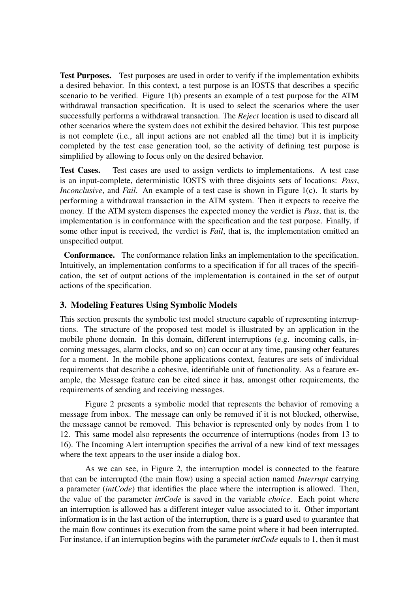Test Purposes. Test purposes are used in order to verify if the implementation exhibits a desired behavior. In this context, a test purpose is an IOSTS that describes a specific scenario to be verified. Figure 1(b) presents an example of a test purpose for the ATM withdrawal transaction specification. It is used to select the scenarios where the user successfully performs a withdrawal transaction. The *Reject* location is used to discard all other scenarios where the system does not exhibit the desired behavior. This test purpose is not complete (i.e., all input actions are not enabled all the time) but it is implicity completed by the test case generation tool, so the activity of defining test purpose is simplified by allowing to focus only on the desired behavior.

Test Cases. Test cases are used to assign verdicts to implementations. A test case is an input-complete, deterministic IOSTS with three disjoints sets of locations: *Pass*, *Inconclusive*, and *Fail*. An example of a test case is shown in Figure 1(c). It starts by performing a withdrawal transaction in the ATM system. Then it expects to receive the money. If the ATM system dispenses the expected money the verdict is *Pass*, that is, the implementation is in conformance with the specification and the test purpose. Finally, if some other input is received, the verdict is *Fail*, that is, the implementation emitted an unspecified output.

Conformance. The conformance relation links an implementation to the specification. Intuitively, an implementation conforms to a specification if for all traces of the specification, the set of output actions of the implementation is contained in the set of output actions of the specification.

## 3. Modeling Features Using Symbolic Models

This section presents the symbolic test model structure capable of representing interruptions. The structure of the proposed test model is illustrated by an application in the mobile phone domain. In this domain, different interruptions (e.g. incoming calls, incoming messages, alarm clocks, and so on) can occur at any time, pausing other features for a moment. In the mobile phone applications context, features are sets of individual requirements that describe a cohesive, identifiable unit of functionality. As a feature example, the Message feature can be cited since it has, amongst other requirements, the requirements of sending and receiving messages.

Figure 2 presents a symbolic model that represents the behavior of removing a message from inbox. The message can only be removed if it is not blocked, otherwise, the message cannot be removed. This behavior is represented only by nodes from 1 to 12. This same model also represents the occurrence of interruptions (nodes from 13 to 16). The Incoming Alert interruption specifies the arrival of a new kind of text messages where the text appears to the user inside a dialog box.

As we can see, in Figure 2, the interruption model is connected to the feature that can be interrupted (the main flow) using a special action named *Interrupt* carrying a parameter (*intCode*) that identifies the place where the interruption is allowed. Then, the value of the parameter *intCode* is saved in the variable *choice*. Each point where an interruption is allowed has a different integer value associated to it. Other important information is in the last action of the interruption, there is a guard used to guarantee that the main flow continues its execution from the same point where it had been interrupted. For instance, if an interruption begins with the parameter *intCode* equals to 1, then it must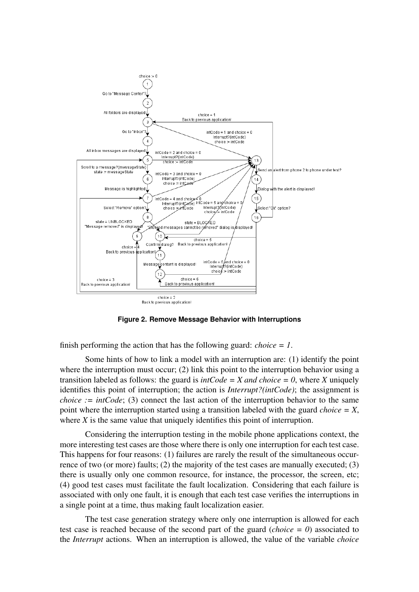

**Figure 2. Remove Message Behavior with Interruptions**

finish performing the action that has the following guard: *choice = 1*.

Some hints of how to link a model with an interruption are: (1) identify the point where the interruption must occur; (2) link this point to the interruption behavior using a transition labeled as follows: the guard is  $intCode = X$  and choice  $= 0$ , where *X* uniquely identifies this point of interruption; the action is *Interrupt?(intCode)*; the assignment is *choice := intCode*; (3) connect the last action of the interruption behavior to the same point where the interruption started using a transition labeled with the guard *choice = X*, where *X* is the same value that uniquely identifies this point of interruption.

Considering the interruption testing in the mobile phone applications context, the more interesting test cases are those where there is only one interruption for each test case. This happens for four reasons: (1) failures are rarely the result of the simultaneous occurrence of two (or more) faults; (2) the majority of the test cases are manually executed; (3) there is usually only one common resource, for instance, the processor, the screen, etc; (4) good test cases must facilitate the fault localization. Considering that each failure is associated with only one fault, it is enough that each test case verifies the interruptions in a single point at a time, thus making fault localization easier.

The test case generation strategy where only one interruption is allowed for each test case is reached because of the second part of the guard (*choice = 0*) associated to the *Interrupt* actions. When an interruption is allowed, the value of the variable *choice*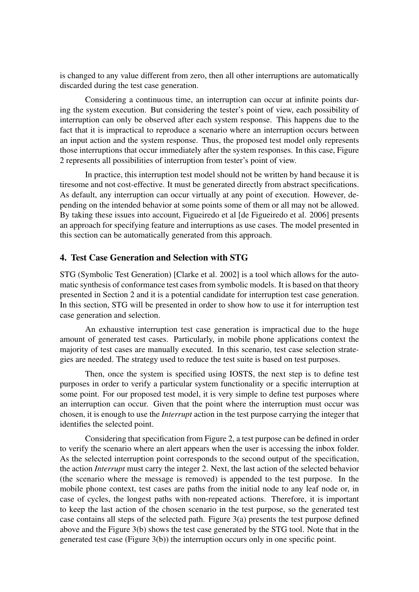is changed to any value different from zero, then all other interruptions are automatically discarded during the test case generation.

Considering a continuous time, an interruption can occur at infinite points during the system execution. But considering the tester's point of view, each possibility of interruption can only be observed after each system response. This happens due to the fact that it is impractical to reproduce a scenario where an interruption occurs between an input action and the system response. Thus, the proposed test model only represents those interruptions that occur immediately after the system responses. In this case, Figure 2 represents all possibilities of interruption from tester's point of view.

In practice, this interruption test model should not be written by hand because it is tiresome and not cost-effective. It must be generated directly from abstract specifications. As default, any interruption can occur virtually at any point of execution. However, depending on the intended behavior at some points some of them or all may not be allowed. By taking these issues into account, Figueiredo et al [de Figueiredo et al. 2006] presents an approach for specifying feature and interruptions as use cases. The model presented in this section can be automatically generated from this approach.

## 4. Test Case Generation and Selection with STG

STG (Symbolic Test Generation) [Clarke et al. 2002] is a tool which allows for the automatic synthesis of conformance test cases from symbolic models. It is based on that theory presented in Section 2 and it is a potential candidate for interruption test case generation. In this section, STG will be presented in order to show how to use it for interruption test case generation and selection.

An exhaustive interruption test case generation is impractical due to the huge amount of generated test cases. Particularly, in mobile phone applications context the majority of test cases are manually executed. In this scenario, test case selection strategies are needed. The strategy used to reduce the test suite is based on test purposes.

Then, once the system is specified using IOSTS, the next step is to define test purposes in order to verify a particular system functionality or a specific interruption at some point. For our proposed test model, it is very simple to define test purposes where an interruption can occur. Given that the point where the interruption must occur was chosen, it is enough to use the *Interrupt* action in the test purpose carrying the integer that identifies the selected point.

Considering that specification from Figure 2, a test purpose can be defined in order to verify the scenario where an alert appears when the user is accessing the inbox folder. As the selected interruption point corresponds to the second output of the specification, the action *Interrupt* must carry the integer 2. Next, the last action of the selected behavior (the scenario where the message is removed) is appended to the test purpose. In the mobile phone context, test cases are paths from the initial node to any leaf node or, in case of cycles, the longest paths with non-repeated actions. Therefore, it is important to keep the last action of the chosen scenario in the test purpose, so the generated test case contains all steps of the selected path. Figure 3(a) presents the test purpose defined above and the Figure 3(b) shows the test case generated by the STG tool. Note that in the generated test case (Figure 3(b)) the interruption occurs only in one specific point.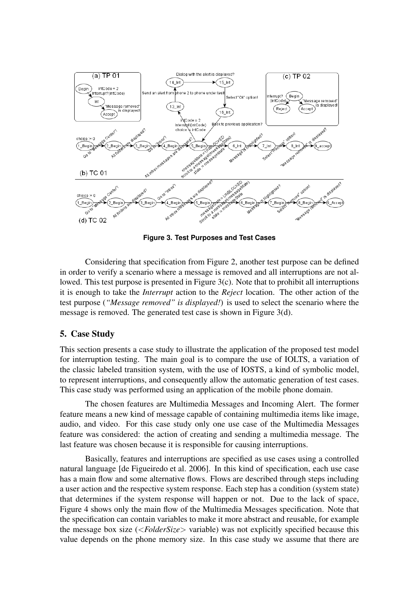

**Figure 3. Test Purposes and Test Cases**

Considering that specification from Figure 2, another test purpose can be defined in order to verify a scenario where a message is removed and all interruptions are not allowed. This test purpose is presented in Figure 3(c). Note that to prohibit all interruptions it is enough to take the *Interrupt* action to the *Reject* location. The other action of the test purpose (*"Message removed" is displayed!*) is used to select the scenario where the message is removed. The generated test case is shown in Figure 3(d).

#### 5. Case Study

This section presents a case study to illustrate the application of the proposed test model for interruption testing. The main goal is to compare the use of IOLTS, a variation of the classic labeled transition system, with the use of IOSTS, a kind of symbolic model, to represent interruptions, and consequently allow the automatic generation of test cases. This case study was performed using an application of the mobile phone domain.

The chosen features are Multimedia Messages and Incoming Alert. The former feature means a new kind of message capable of containing multimedia items like image, audio, and video. For this case study only one use case of the Multimedia Messages feature was considered: the action of creating and sending a multimedia message. The last feature was chosen because it is responsible for causing interruptions.

Basically, features and interruptions are specified as use cases using a controlled natural language [de Figueiredo et al. 2006]. In this kind of specification, each use case has a main flow and some alternative flows. Flows are described through steps including a user action and the respective system response. Each step has a condition (system state) that determines if the system response will happen or not. Due to the lack of space, Figure 4 shows only the main flow of the Multimedia Messages specification. Note that the specification can contain variables to make it more abstract and reusable, for example the message box size (<*FolderSize*> variable) was not explicitly specified because this value depends on the phone memory size. In this case study we assume that there are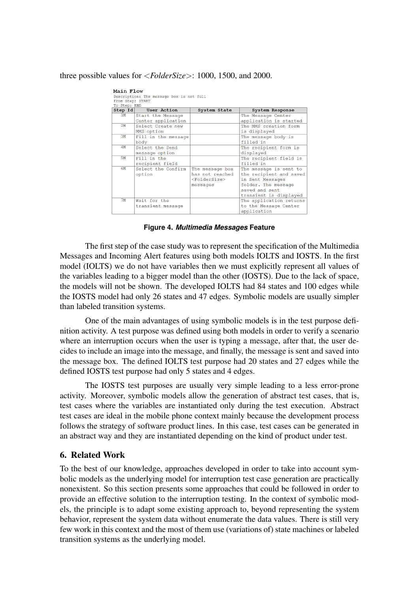#### three possible values for <*FolderSize*>: 1000, 1500, and 2000.

| Main Flow                                |                     |                    |                         |
|------------------------------------------|---------------------|--------------------|-------------------------|
| Description: The message box is not full |                     |                    |                         |
| From Step: START                         |                     |                    |                         |
| To Step: END                             |                     |                    |                         |
| $Step$ Id                                | User Action         | System State       | System Response         |
| 1M                                       | Start the Message   |                    | The Message Center      |
|                                          | Center application  |                    | application is started  |
| 2M                                       | Select Create new   |                    | The MMS creation form   |
|                                          | MMS option          |                    | is displayed            |
| 3M                                       | Fill in the message |                    | The message body is     |
|                                          | body                |                    | filled in               |
| 4M                                       | Select the Send     |                    | The recipient form is   |
|                                          | message option      |                    | displayed               |
| <b>5M</b>                                | Fill in the         |                    | The recipient field is  |
|                                          | recipient field     |                    | filled in               |
| 6M                                       | Select the Confirm  | The message box    | The message is sent to  |
|                                          | option              | has not reached    | the recipient and saved |
|                                          |                     | $<$ FolderSize $>$ | in Sent Messages        |
|                                          |                     | messages           | folder. The message     |
|                                          |                     |                    | saved and sent          |
|                                          |                     |                    | transient is displayed  |
| 7M                                       | Wait for the        |                    | The application returns |
|                                          | transient message   |                    | to the Message Center   |
|                                          |                     |                    | application             |
|                                          |                     |                    |                         |

**Figure 4.** *Multimedia Messages* **Feature**

The first step of the case study was to represent the specification of the Multimedia Messages and Incoming Alert features using both models IOLTS and IOSTS. In the first model (IOLTS) we do not have variables then we must explicitly represent all values of the variables leading to a bigger model than the other (IOSTS). Due to the lack of space, the models will not be shown. The developed IOLTS had 84 states and 100 edges while the IOSTS model had only 26 states and 47 edges. Symbolic models are usually simpler than labeled transition systems.

One of the main advantages of using symbolic models is in the test purpose definition activity. A test purpose was defined using both models in order to verify a scenario where an interruption occurs when the user is typing a message, after that, the user decides to include an image into the message, and finally, the message is sent and saved into the message box. The defined IOLTS test purpose had 20 states and 27 edges while the defined IOSTS test purpose had only 5 states and 4 edges.

The IOSTS test purposes are usually very simple leading to a less error-prone activity. Moreover, symbolic models allow the generation of abstract test cases, that is, test cases where the variables are instantiated only during the test execution. Abstract test cases are ideal in the mobile phone context mainly because the development process follows the strategy of software product lines. In this case, test cases can be generated in an abstract way and they are instantiated depending on the kind of product under test.

## 6. Related Work

To the best of our knowledge, approaches developed in order to take into account symbolic models as the underlying model for interruption test case generation are practically nonexistent. So this section presents some approaches that could be followed in order to provide an effective solution to the interruption testing. In the context of symbolic models, the principle is to adapt some existing approach to, beyond representing the system behavior, represent the system data without enumerate the data values. There is still very few work in this context and the most of them use (variations of) state machines or labeled transition systems as the underlying model.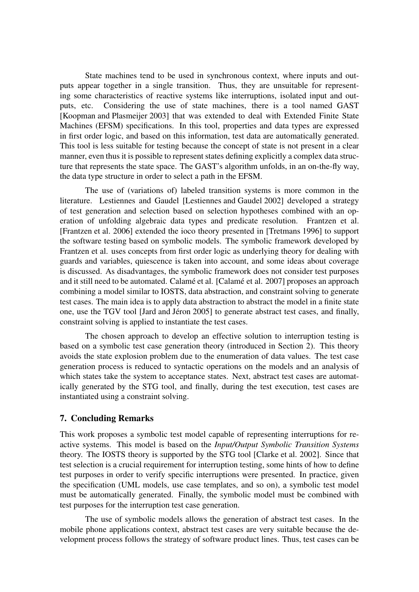State machines tend to be used in synchronous context, where inputs and outputs appear together in a single transition. Thus, they are unsuitable for representing some characteristics of reactive systems like interruptions, isolated input and outputs, etc. Considering the use of state machines, there is a tool named GAST [Koopman and Plasmeijer 2003] that was extended to deal with Extended Finite State Machines (EFSM) specifications. In this tool, properties and data types are expressed in first order logic, and based on this information, test data are automatically generated. This tool is less suitable for testing because the concept of state is not present in a clear manner, even thus it is possible to represent states defining explicitly a complex data structure that represents the state space. The GAST's algorithm unfolds, in an on-the-fly way, the data type structure in order to select a path in the EFSM.

The use of (variations of) labeled transition systems is more common in the literature. Lestiennes and Gaudel [Lestiennes and Gaudel 2002] developed a strategy of test generation and selection based on selection hypotheses combined with an operation of unfolding algebraic data types and predicate resolution. Frantzen et al. [Frantzen et al. 2006] extended the ioco theory presented in [Tretmans 1996] to support the software testing based on symbolic models. The symbolic framework developed by Frantzen et al. uses concepts from first order logic as underlying theory for dealing with guards and variables, quiescence is taken into account, and some ideas about coverage is discussed. As disadvantages, the symbolic framework does not consider test purposes and it still need to be automated. Calamé et al. [Calamé et al. 2007] proposes an approach combining a model similar to IOSTS, data abstraction, and constraint solving to generate test cases. The main idea is to apply data abstraction to abstract the model in a finite state one, use the TGV tool [Jard and Jéron 2005] to generate abstract test cases, and finally, constraint solving is applied to instantiate the test cases.

The chosen approach to develop an effective solution to interruption testing is based on a symbolic test case generation theory (introduced in Section 2). This theory avoids the state explosion problem due to the enumeration of data values. The test case generation process is reduced to syntactic operations on the models and an analysis of which states take the system to acceptance states. Next, abstract test cases are automatically generated by the STG tool, and finally, during the test execution, test cases are instantiated using a constraint solving.

## 7. Concluding Remarks

This work proposes a symbolic test model capable of representing interruptions for reactive systems. This model is based on the *Input/Output Symbolic Transition Systems* theory. The IOSTS theory is supported by the STG tool [Clarke et al. 2002]. Since that test selection is a crucial requirement for interruption testing, some hints of how to define test purposes in order to verify specific interruptions were presented. In practice, given the specification (UML models, use case templates, and so on), a symbolic test model must be automatically generated. Finally, the symbolic model must be combined with test purposes for the interruption test case generation.

The use of symbolic models allows the generation of abstract test cases. In the mobile phone applications context, abstract test cases are very suitable because the development process follows the strategy of software product lines. Thus, test cases can be